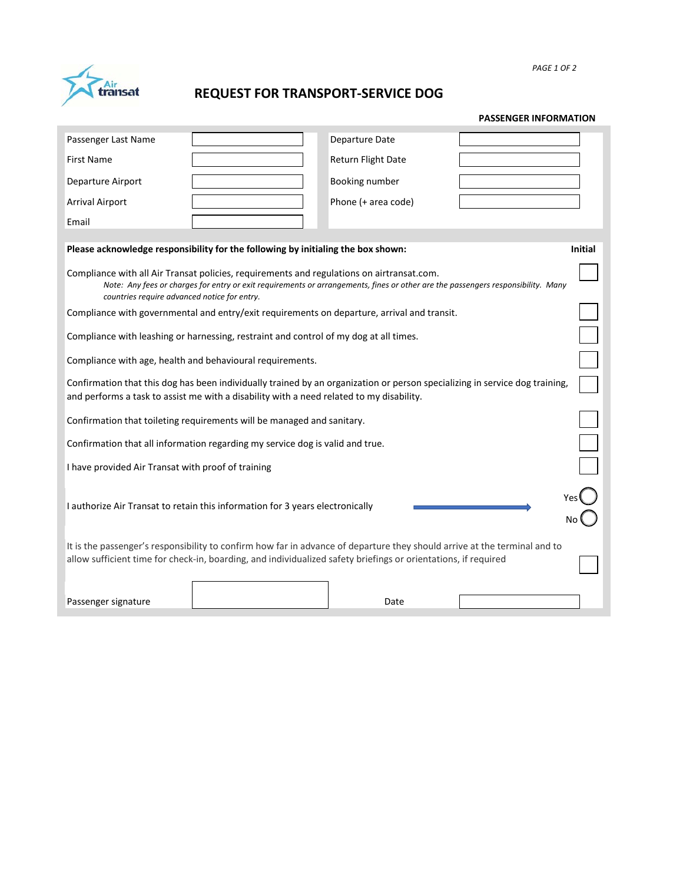transat

## **REQUEST FOR TRANSPORT-SERVICE DOG**

| Passenger Last Name                                                                                                                                                                                                                                                           |  | Departure Date      |  |  |  |  |  |
|-------------------------------------------------------------------------------------------------------------------------------------------------------------------------------------------------------------------------------------------------------------------------------|--|---------------------|--|--|--|--|--|
| <b>First Name</b>                                                                                                                                                                                                                                                             |  | Return Flight Date  |  |  |  |  |  |
| Departure Airport                                                                                                                                                                                                                                                             |  | Booking number      |  |  |  |  |  |
| <b>Arrival Airport</b>                                                                                                                                                                                                                                                        |  | Phone (+ area code) |  |  |  |  |  |
| Email                                                                                                                                                                                                                                                                         |  |                     |  |  |  |  |  |
| Please acknowledge responsibility for the following by initialing the box shown:<br><b>Initial</b>                                                                                                                                                                            |  |                     |  |  |  |  |  |
| Compliance with all Air Transat policies, requirements and regulations on airtransat.com.<br>Note: Any fees or charges for entry or exit requirements or arrangements, fines or other are the passengers responsibility. Many<br>countries require advanced notice for entry. |  |                     |  |  |  |  |  |
| Compliance with governmental and entry/exit requirements on departure, arrival and transit.                                                                                                                                                                                   |  |                     |  |  |  |  |  |
| Compliance with leashing or harnessing, restraint and control of my dog at all times.                                                                                                                                                                                         |  |                     |  |  |  |  |  |
| Compliance with age, health and behavioural requirements.                                                                                                                                                                                                                     |  |                     |  |  |  |  |  |
| Confirmation that this dog has been individually trained by an organization or person specializing in service dog training,<br>and performs a task to assist me with a disability with a need related to my disability.                                                       |  |                     |  |  |  |  |  |
| Confirmation that toileting requirements will be managed and sanitary.                                                                                                                                                                                                        |  |                     |  |  |  |  |  |
| Confirmation that all information regarding my service dog is valid and true.                                                                                                                                                                                                 |  |                     |  |  |  |  |  |
| I have provided Air Transat with proof of training                                                                                                                                                                                                                            |  |                     |  |  |  |  |  |
| I authorize Air Transat to retain this information for 3 years electronically                                                                                                                                                                                                 |  |                     |  |  |  |  |  |
| It is the passenger's responsibility to confirm how far in advance of departure they should arrive at the terminal and to<br>allow sufficient time for check-in, boarding, and individualized safety briefings or orientations, if required                                   |  |                     |  |  |  |  |  |
| Passenger signature                                                                                                                                                                                                                                                           |  | Date                |  |  |  |  |  |